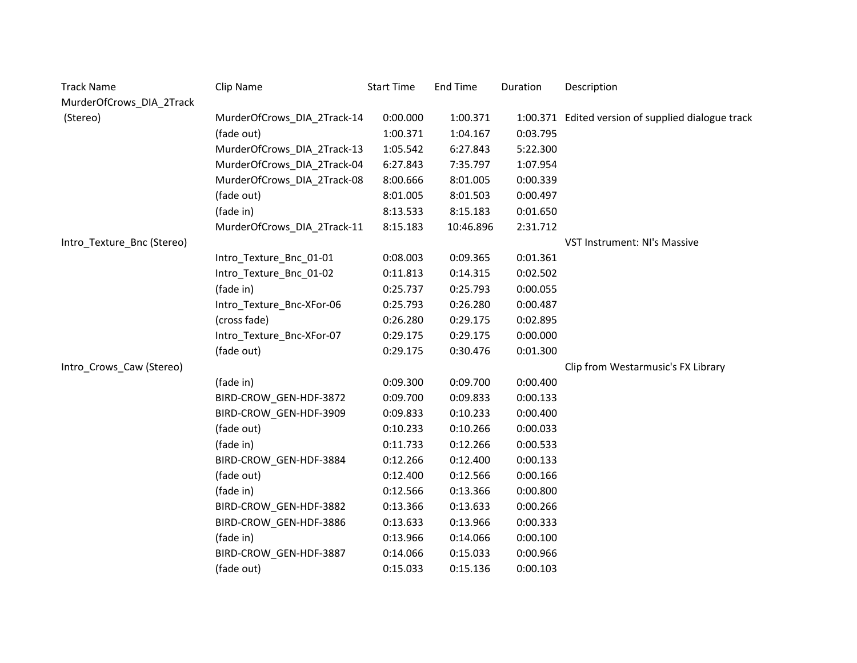| <b>Track Name</b>          | Clip Name                   | <b>Start Time</b> | End Time  | Duration | Description                                        |
|----------------------------|-----------------------------|-------------------|-----------|----------|----------------------------------------------------|
| MurderOfCrows_DIA_2Track   |                             |                   |           |          |                                                    |
| (Stereo)                   | MurderOfCrows_DIA_2Track-14 | 0:00.000          | 1:00.371  |          | 1:00.371 Edited version of supplied dialogue track |
|                            | (fade out)                  | 1:00.371          | 1:04.167  | 0:03.795 |                                                    |
|                            | MurderOfCrows_DIA_2Track-13 | 1:05.542          | 6:27.843  | 5:22.300 |                                                    |
|                            | MurderOfCrows_DIA_2Track-04 | 6:27.843          | 7:35.797  | 1:07.954 |                                                    |
|                            | MurderOfCrows_DIA_2Track-08 | 8:00.666          | 8:01.005  | 0:00.339 |                                                    |
|                            | (fade out)                  | 8:01.005          | 8:01.503  | 0:00.497 |                                                    |
|                            | (fade in)                   | 8:13.533          | 8:15.183  | 0:01.650 |                                                    |
|                            | MurderOfCrows_DIA_2Track-11 | 8:15.183          | 10:46.896 | 2:31.712 |                                                    |
| Intro_Texture_Bnc (Stereo) |                             |                   |           |          | VST Instrument: NI's Massive                       |
|                            | Intro_Texture_Bnc_01-01     | 0:08.003          | 0:09.365  | 0:01.361 |                                                    |
|                            | Intro_Texture_Bnc_01-02     | 0:11.813          | 0:14.315  | 0:02.502 |                                                    |
|                            | (fade in)                   | 0:25.737          | 0:25.793  | 0:00.055 |                                                    |
|                            | Intro_Texture_Bnc-XFor-06   | 0:25.793          | 0:26.280  | 0:00.487 |                                                    |
|                            | (cross fade)                | 0:26.280          | 0:29.175  | 0:02.895 |                                                    |
|                            | Intro_Texture_Bnc-XFor-07   | 0:29.175          | 0:29.175  | 0:00.000 |                                                    |
|                            | (fade out)                  | 0:29.175          | 0:30.476  | 0:01.300 |                                                    |
| Intro_Crows_Caw (Stereo)   |                             |                   |           |          | Clip from Westarmusic's FX Library                 |
|                            | (fade in)                   | 0:09.300          | 0:09.700  | 0:00.400 |                                                    |
|                            | BIRD-CROW_GEN-HDF-3872      | 0:09.700          | 0:09.833  | 0:00.133 |                                                    |
|                            | BIRD-CROW_GEN-HDF-3909      | 0:09.833          | 0:10.233  | 0:00.400 |                                                    |
|                            | (fade out)                  | 0:10.233          | 0:10.266  | 0:00.033 |                                                    |
|                            | (fade in)                   | 0:11.733          | 0:12.266  | 0:00.533 |                                                    |
|                            | BIRD-CROW_GEN-HDF-3884      | 0:12.266          | 0:12.400  | 0:00.133 |                                                    |
|                            | (fade out)                  | 0:12.400          | 0:12.566  | 0:00.166 |                                                    |
|                            | (fade in)                   | 0:12.566          | 0:13.366  | 0:00.800 |                                                    |
|                            | BIRD-CROW_GEN-HDF-3882      | 0:13.366          | 0:13.633  | 0:00.266 |                                                    |
|                            | BIRD-CROW_GEN-HDF-3886      | 0:13.633          | 0:13.966  | 0:00.333 |                                                    |
|                            | (fade in)                   | 0:13.966          | 0:14.066  | 0:00.100 |                                                    |
|                            | BIRD-CROW_GEN-HDF-3887      | 0:14.066          | 0:15.033  | 0:00.966 |                                                    |
|                            | (fade out)                  | 0:15.033          | 0:15.136  | 0:00.103 |                                                    |
|                            |                             |                   |           |          |                                                    |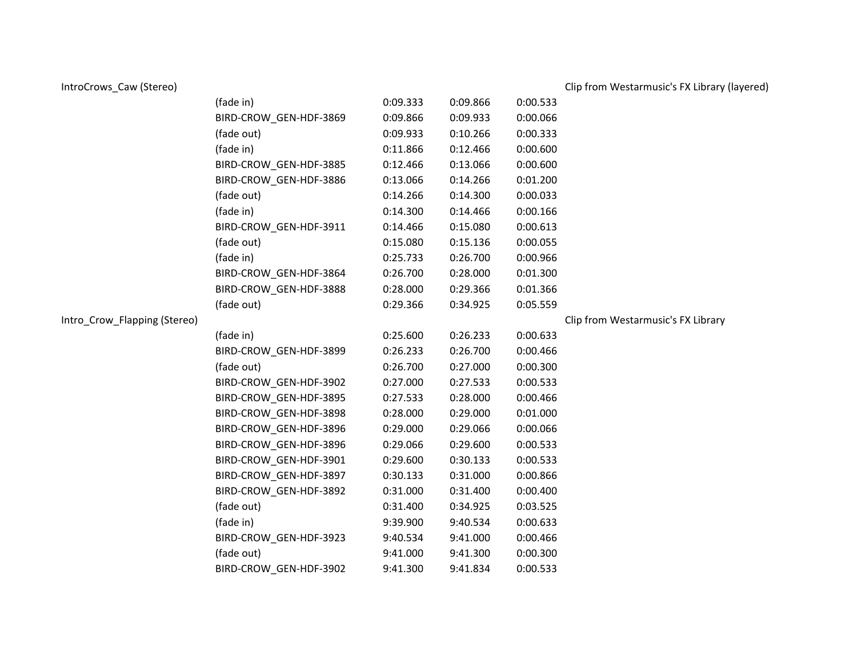| IntroCrows_Caw (Stereo)      |                        |          |          |          | Clip from Westarmusic's FX Library (layered) |
|------------------------------|------------------------|----------|----------|----------|----------------------------------------------|
|                              | (fade in)              | 0:09.333 | 0:09.866 | 0:00.533 |                                              |
|                              | BIRD-CROW_GEN-HDF-3869 | 0:09.866 | 0:09.933 | 0:00.066 |                                              |
|                              | (fade out)             | 0:09.933 | 0:10.266 | 0:00.333 |                                              |
|                              | (fade in)              | 0:11.866 | 0:12.466 | 0:00.600 |                                              |
|                              | BIRD-CROW_GEN-HDF-3885 | 0:12.466 | 0:13.066 | 0:00.600 |                                              |
|                              | BIRD-CROW_GEN-HDF-3886 | 0:13.066 | 0:14.266 | 0:01.200 |                                              |
|                              | (fade out)             | 0:14.266 | 0:14.300 | 0:00.033 |                                              |
|                              | (fade in)              | 0:14.300 | 0:14.466 | 0:00.166 |                                              |
|                              | BIRD-CROW_GEN-HDF-3911 | 0:14.466 | 0:15.080 | 0:00.613 |                                              |
|                              | (fade out)             | 0:15.080 | 0:15.136 | 0:00.055 |                                              |
|                              | (fade in)              | 0:25.733 | 0:26.700 | 0:00.966 |                                              |
|                              | BIRD-CROW_GEN-HDF-3864 | 0:26.700 | 0:28.000 | 0:01.300 |                                              |
|                              | BIRD-CROW_GEN-HDF-3888 | 0:28.000 | 0:29.366 | 0:01.366 |                                              |
|                              | (fade out)             | 0:29.366 | 0:34.925 | 0:05.559 |                                              |
| Intro_Crow_Flapping (Stereo) |                        |          |          |          | Clip from Westarmusic's FX Library           |
|                              | (fade in)              | 0:25.600 | 0:26.233 | 0:00.633 |                                              |
|                              | BIRD-CROW_GEN-HDF-3899 | 0:26.233 | 0:26.700 | 0:00.466 |                                              |
|                              | (fade out)             | 0:26.700 | 0:27.000 | 0:00.300 |                                              |
|                              | BIRD-CROW_GEN-HDF-3902 | 0:27.000 | 0:27.533 | 0:00.533 |                                              |
|                              | BIRD-CROW_GEN-HDF-3895 | 0:27.533 | 0:28.000 | 0:00.466 |                                              |
|                              | BIRD-CROW_GEN-HDF-3898 | 0:28.000 | 0:29.000 | 0:01.000 |                                              |
|                              | BIRD-CROW_GEN-HDF-3896 | 0:29.000 | 0:29.066 | 0:00.066 |                                              |
|                              | BIRD-CROW_GEN-HDF-3896 | 0:29.066 | 0:29.600 | 0:00.533 |                                              |
|                              | BIRD-CROW_GEN-HDF-3901 | 0:29.600 | 0:30.133 | 0:00.533 |                                              |
|                              | BIRD-CROW GEN-HDF-3897 | 0:30.133 | 0:31.000 | 0:00.866 |                                              |
|                              | BIRD-CROW_GEN-HDF-3892 | 0:31.000 | 0:31.400 | 0:00.400 |                                              |
|                              | (fade out)             | 0:31.400 | 0:34.925 | 0:03.525 |                                              |
|                              | (fade in)              | 9:39.900 | 9:40.534 | 0:00.633 |                                              |
|                              | BIRD-CROW_GEN-HDF-3923 | 9:40.534 | 9:41.000 | 0:00.466 |                                              |
|                              | (fade out)             | 9:41.000 | 9:41.300 | 0:00.300 |                                              |
|                              | BIRD-CROW_GEN-HDF-3902 | 9:41.300 | 9:41.834 | 0:00.533 |                                              |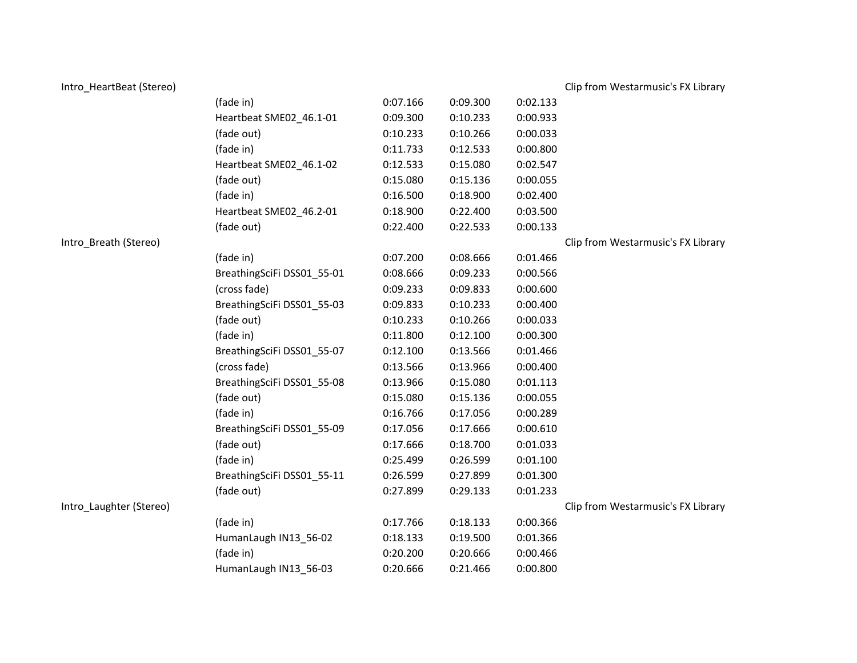| Intro_HeartBeat (Stereo) |                            |          |          |          | Clip from Westarmusic's FX Library |
|--------------------------|----------------------------|----------|----------|----------|------------------------------------|
|                          | (fade in)                  | 0:07.166 | 0:09.300 | 0:02.133 |                                    |
|                          | Heartbeat SME02_46.1-01    | 0:09.300 | 0:10.233 | 0:00.933 |                                    |
|                          | (fade out)                 | 0:10.233 | 0:10.266 | 0:00.033 |                                    |
|                          | (fade in)                  | 0:11.733 | 0:12.533 | 0:00.800 |                                    |
|                          | Heartbeat SME02_46.1-02    | 0:12.533 | 0:15.080 | 0:02.547 |                                    |
|                          | (fade out)                 | 0:15.080 | 0:15.136 | 0:00.055 |                                    |
|                          | (fade in)                  | 0:16.500 | 0:18.900 | 0:02.400 |                                    |
|                          | Heartbeat SME02_46.2-01    | 0:18.900 | 0:22.400 | 0:03.500 |                                    |
|                          | (fade out)                 | 0:22.400 | 0:22.533 | 0:00.133 |                                    |
| Intro_Breath (Stereo)    |                            |          |          |          | Clip from Westarmusic's FX Library |
|                          | (fade in)                  | 0:07.200 | 0:08.666 | 0:01.466 |                                    |
|                          | BreathingSciFi DSS01_55-01 | 0:08.666 | 0:09.233 | 0:00.566 |                                    |
|                          | (cross fade)               | 0:09.233 | 0:09.833 | 0:00.600 |                                    |
|                          | BreathingSciFi DSS01 55-03 | 0:09.833 | 0:10.233 | 0:00.400 |                                    |
|                          | (fade out)                 | 0:10.233 | 0:10.266 | 0:00.033 |                                    |
|                          | (fade in)                  | 0:11.800 | 0:12.100 | 0:00.300 |                                    |
|                          | BreathingSciFi DSS01_55-07 | 0:12.100 | 0:13.566 | 0:01.466 |                                    |
|                          | (cross fade)               | 0:13.566 | 0:13.966 | 0:00.400 |                                    |
|                          | BreathingSciFi DSS01_55-08 | 0:13.966 | 0:15.080 | 0:01.113 |                                    |
|                          | (fade out)                 | 0:15.080 | 0:15.136 | 0:00.055 |                                    |
|                          | (fade in)                  | 0:16.766 | 0:17.056 | 0:00.289 |                                    |
|                          | BreathingSciFi DSS01_55-09 | 0:17.056 | 0:17.666 | 0:00.610 |                                    |
|                          | (fade out)                 | 0:17.666 | 0:18.700 | 0:01.033 |                                    |
|                          | (fade in)                  | 0:25.499 | 0:26.599 | 0:01.100 |                                    |
|                          | BreathingSciFi DSS01 55-11 | 0:26.599 | 0:27.899 | 0:01.300 |                                    |
|                          | (fade out)                 | 0:27.899 | 0:29.133 | 0:01.233 |                                    |
| Intro_Laughter (Stereo)  |                            |          |          |          | Clip from Westarmusic's FX Library |
|                          | (fade in)                  | 0:17.766 | 0:18.133 | 0:00.366 |                                    |
|                          | HumanLaugh IN13_56-02      | 0:18.133 | 0:19.500 | 0:01.366 |                                    |
|                          | (fade in)                  | 0:20.200 | 0:20.666 | 0:00.466 |                                    |
|                          | HumanLaugh IN13 56-03      | 0:20.666 | 0:21.466 | 0:00.800 |                                    |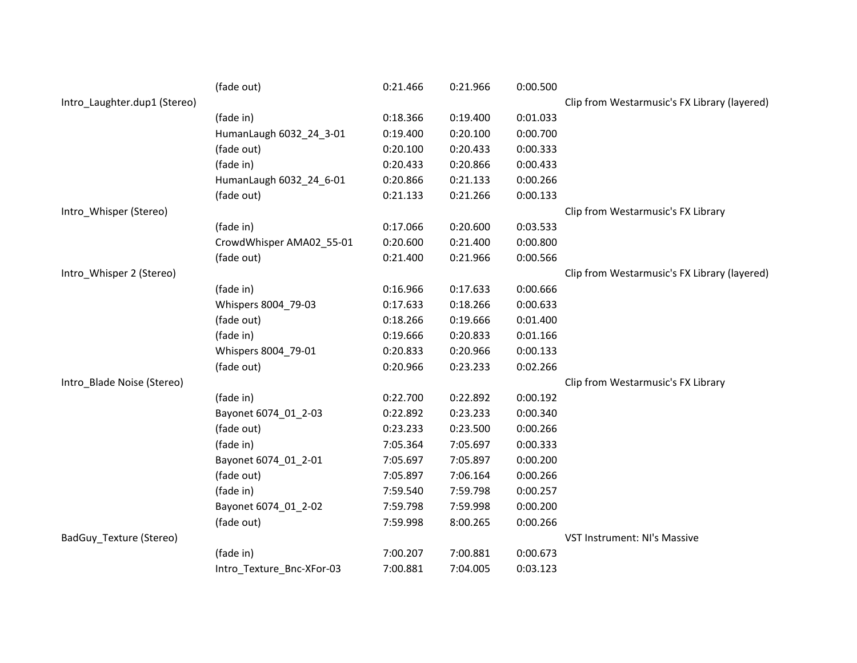|                              | (fade out)                | 0:21.466 | 0:21.966 | 0:00.500 |                                              |
|------------------------------|---------------------------|----------|----------|----------|----------------------------------------------|
| Intro_Laughter.dup1 (Stereo) |                           |          |          |          | Clip from Westarmusic's FX Library (layered) |
|                              | (fade in)                 | 0:18.366 | 0:19.400 | 0:01.033 |                                              |
|                              | HumanLaugh 6032_24_3-01   | 0:19.400 | 0:20.100 | 0:00.700 |                                              |
|                              | (fade out)                | 0:20.100 | 0:20.433 | 0:00.333 |                                              |
|                              | (fade in)                 | 0:20.433 | 0:20.866 | 0:00.433 |                                              |
|                              | HumanLaugh 6032_24_6-01   | 0:20.866 | 0:21.133 | 0:00.266 |                                              |
|                              | (fade out)                | 0:21.133 | 0:21.266 | 0:00.133 |                                              |
| Intro_Whisper (Stereo)       |                           |          |          |          | Clip from Westarmusic's FX Library           |
|                              | (fade in)                 | 0:17.066 | 0:20.600 | 0:03.533 |                                              |
|                              | CrowdWhisper AMA02_55-01  | 0:20.600 | 0:21.400 | 0:00.800 |                                              |
|                              | (fade out)                | 0:21.400 | 0:21.966 | 0:00.566 |                                              |
| Intro_Whisper 2 (Stereo)     |                           |          |          |          | Clip from Westarmusic's FX Library (layered) |
|                              | (fade in)                 | 0:16.966 | 0:17.633 | 0:00.666 |                                              |
|                              | Whispers 8004_79-03       | 0:17.633 | 0:18.266 | 0:00.633 |                                              |
|                              | (fade out)                | 0:18.266 | 0:19.666 | 0:01.400 |                                              |
|                              | (fade in)                 | 0:19.666 | 0:20.833 | 0:01.166 |                                              |
|                              | Whispers 8004_79-01       | 0:20.833 | 0:20.966 | 0:00.133 |                                              |
|                              | (fade out)                | 0:20.966 | 0:23.233 | 0:02.266 |                                              |
| Intro_Blade Noise (Stereo)   |                           |          |          |          | Clip from Westarmusic's FX Library           |
|                              | (fade in)                 | 0:22.700 | 0:22.892 | 0:00.192 |                                              |
|                              | Bayonet 6074_01_2-03      | 0:22.892 | 0:23.233 | 0:00.340 |                                              |
|                              | (fade out)                | 0:23.233 | 0:23.500 | 0:00.266 |                                              |
|                              | (fade in)                 | 7:05.364 | 7:05.697 | 0:00.333 |                                              |
|                              | Bayonet 6074_01_2-01      | 7:05.697 | 7:05.897 | 0:00.200 |                                              |
|                              | (fade out)                | 7:05.897 | 7:06.164 | 0:00.266 |                                              |
|                              | (fade in)                 | 7:59.540 | 7:59.798 | 0:00.257 |                                              |
|                              | Bayonet 6074_01_2-02      | 7:59.798 | 7:59.998 | 0:00.200 |                                              |
|                              | (fade out)                | 7:59.998 | 8:00.265 | 0:00.266 |                                              |
| BadGuy_Texture (Stereo)      |                           |          |          |          | VST Instrument: NI's Massive                 |
|                              | (fade in)                 | 7:00.207 | 7:00.881 | 0:00.673 |                                              |
|                              | Intro_Texture_Bnc-XFor-03 | 7:00.881 | 7:04.005 | 0:03.123 |                                              |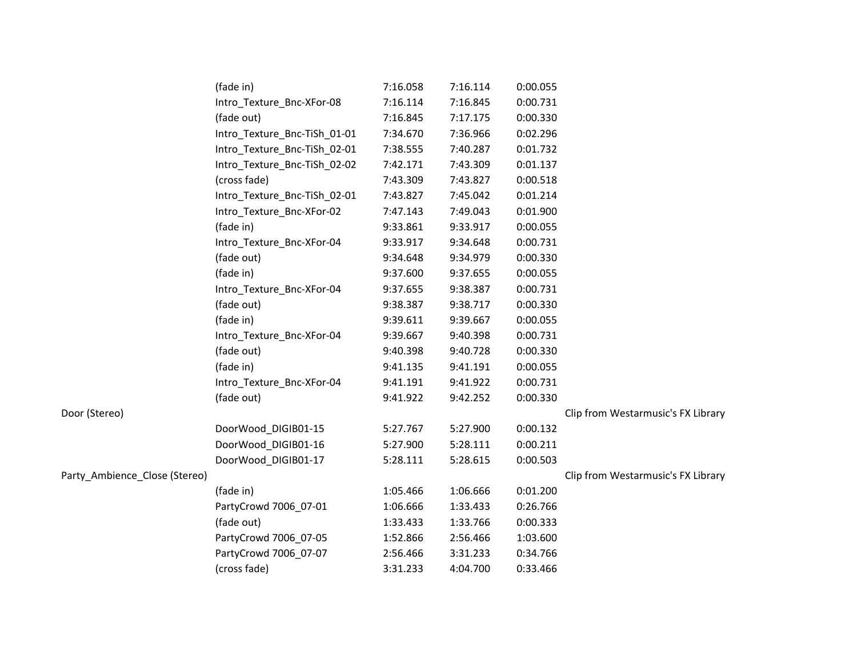|                               | (fade in)                    | 7:16.058 | 7:16.114 | 0:00.055 |                                    |
|-------------------------------|------------------------------|----------|----------|----------|------------------------------------|
|                               | Intro_Texture_Bnc-XFor-08    | 7:16.114 | 7:16.845 | 0:00.731 |                                    |
|                               | (fade out)                   | 7:16.845 | 7:17.175 | 0:00.330 |                                    |
|                               | Intro_Texture_Bnc-TiSh_01-01 | 7:34.670 | 7:36.966 | 0:02.296 |                                    |
|                               | Intro_Texture_Bnc-TiSh_02-01 | 7:38.555 | 7:40.287 | 0:01.732 |                                    |
|                               | Intro_Texture_Bnc-TiSh_02-02 | 7:42.171 | 7:43.309 | 0:01.137 |                                    |
|                               | (cross fade)                 | 7:43.309 | 7:43.827 | 0:00.518 |                                    |
|                               | Intro_Texture_Bnc-TiSh_02-01 | 7:43.827 | 7:45.042 | 0:01.214 |                                    |
|                               | Intro_Texture_Bnc-XFor-02    | 7:47.143 | 7:49.043 | 0:01.900 |                                    |
|                               | (fade in)                    | 9:33.861 | 9:33.917 | 0:00.055 |                                    |
|                               | Intro_Texture_Bnc-XFor-04    | 9:33.917 | 9:34.648 | 0:00.731 |                                    |
|                               | (fade out)                   | 9:34.648 | 9:34.979 | 0:00.330 |                                    |
|                               | (fade in)                    | 9:37.600 | 9:37.655 | 0:00.055 |                                    |
|                               | Intro_Texture_Bnc-XFor-04    | 9:37.655 | 9:38.387 | 0:00.731 |                                    |
|                               | (fade out)                   | 9:38.387 | 9:38.717 | 0:00.330 |                                    |
|                               | (fade in)                    | 9:39.611 | 9:39.667 | 0:00.055 |                                    |
|                               | Intro_Texture_Bnc-XFor-04    | 9:39.667 | 9:40.398 | 0:00.731 |                                    |
|                               | (fade out)                   | 9:40.398 | 9:40.728 | 0:00.330 |                                    |
|                               | (fade in)                    | 9:41.135 | 9:41.191 | 0:00.055 |                                    |
|                               | Intro_Texture_Bnc-XFor-04    | 9:41.191 | 9:41.922 | 0:00.731 |                                    |
|                               | (fade out)                   | 9:41.922 | 9:42.252 | 0:00.330 |                                    |
| Door (Stereo)                 |                              |          |          |          | Clip from Westarmusic's FX Library |
|                               | DoorWood_DIGIB01-15          | 5:27.767 | 5:27.900 | 0:00.132 |                                    |
|                               | DoorWood_DIGIB01-16          | 5:27.900 | 5:28.111 | 0:00.211 |                                    |
|                               | DoorWood DIGIB01-17          | 5:28.111 | 5:28.615 | 0:00.503 |                                    |
| Party_Ambience_Close (Stereo) |                              |          |          |          | Clip from Westarmusic's FX Library |
|                               | (fade in)                    | 1:05.466 | 1:06.666 | 0:01.200 |                                    |
|                               | PartyCrowd 7006_07-01        | 1:06.666 | 1:33.433 | 0:26.766 |                                    |
|                               | (fade out)                   | 1:33.433 | 1:33.766 | 0:00.333 |                                    |
|                               | PartyCrowd 7006_07-05        | 1:52.866 | 2:56.466 | 1:03.600 |                                    |
|                               | PartyCrowd 7006_07-07        | 2:56.466 | 3:31.233 | 0:34.766 |                                    |
|                               | (cross fade)                 | 3:31.233 | 4:04.700 | 0:33.466 |                                    |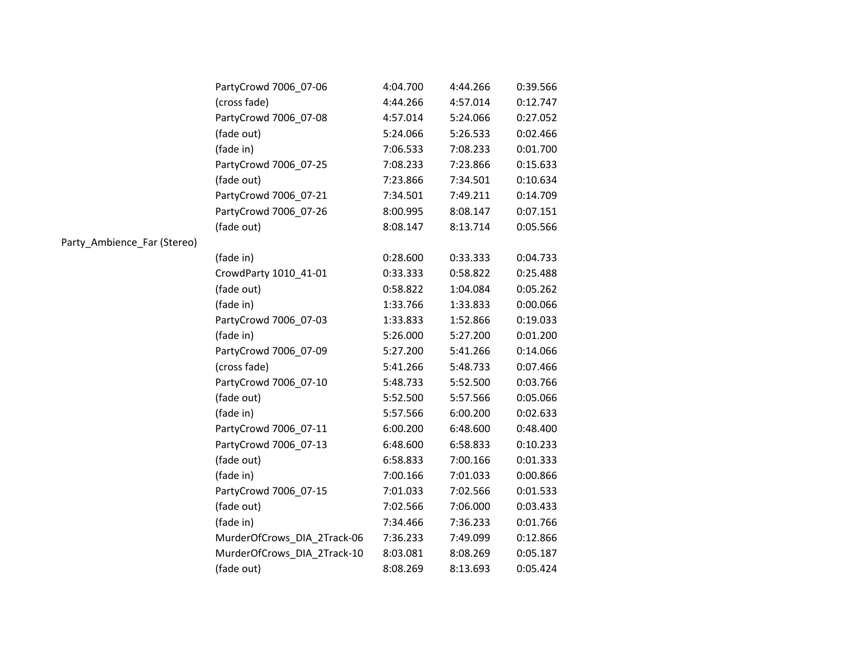|    | PartyCrowd 7006_07-06       | 4:04.700 | 4:44.266 | 0:39.566 |
|----|-----------------------------|----------|----------|----------|
|    | (cross fade)                | 4:44.266 | 4:57.014 | 0:12.747 |
|    | PartyCrowd 7006_07-08       | 4:57.014 | 5:24.066 | 0:27.052 |
|    | (fade out)                  | 5:24.066 | 5:26.533 | 0:02.466 |
|    | (fade in)                   | 7:06.533 | 7:08.233 | 0:01.700 |
|    | PartyCrowd 7006_07-25       | 7:08.233 | 7:23.866 | 0:15.633 |
|    | (fade out)                  | 7:23.866 | 7:34.501 | 0:10.634 |
|    | PartyCrowd 7006_07-21       | 7:34.501 | 7:49.211 | 0:14.709 |
|    | PartyCrowd 7006 07-26       | 8:00.995 | 8:08.147 | 0:07.151 |
|    | (fade out)                  | 8:08.147 | 8:13.714 | 0:05.566 |
| o) |                             |          |          |          |
|    | (fade in)                   | 0:28.600 | 0:33.333 | 0:04.733 |
|    | CrowdParty 1010_41-01       | 0:33.333 | 0:58.822 | 0:25.488 |
|    | (fade out)                  | 0:58.822 | 1:04.084 | 0:05.262 |
|    | (fade in)                   | 1:33.766 | 1:33.833 | 0:00.066 |
|    | PartyCrowd 7006_07-03       | 1:33.833 | 1:52.866 | 0:19.033 |
|    | (fade in)                   | 5:26.000 | 5:27.200 | 0:01.200 |
|    | PartyCrowd 7006_07-09       | 5:27.200 | 5:41.266 | 0:14.066 |
|    | (cross fade)                | 5:41.266 | 5:48.733 | 0:07.466 |
|    | PartyCrowd 7006_07-10       | 5:48.733 | 5:52.500 | 0:03.766 |
|    | (fade out)                  | 5:52.500 | 5:57.566 | 0:05.066 |
|    | (fade in)                   | 5:57.566 | 6:00.200 | 0:02.633 |
|    | PartyCrowd 7006_07-11       | 6:00.200 | 6:48.600 | 0:48.400 |
|    | PartyCrowd 7006_07-13       | 6:48.600 | 6:58.833 | 0:10.233 |
|    | (fade out)                  | 6:58.833 | 7:00.166 | 0:01.333 |
|    | (fade in)                   | 7:00.166 | 7:01.033 | 0:00.866 |
|    | PartyCrowd 7006_07-15       | 7:01.033 | 7:02.566 | 0:01.533 |
|    | (fade out)                  | 7:02.566 | 7:06.000 | 0:03.433 |
|    | (fade in)                   | 7:34.466 | 7:36.233 | 0:01.766 |
|    | MurderOfCrows_DIA_2Track-06 | 7:36.233 | 7:49.099 | 0:12.866 |
|    | MurderOfCrows_DIA_2Track-10 | 8:03.081 | 8:08.269 | 0:05.187 |
|    | (fade out)                  | 8:08.269 | 8:13.693 | 0:05.424 |

Party\_Ambience\_Far (Stered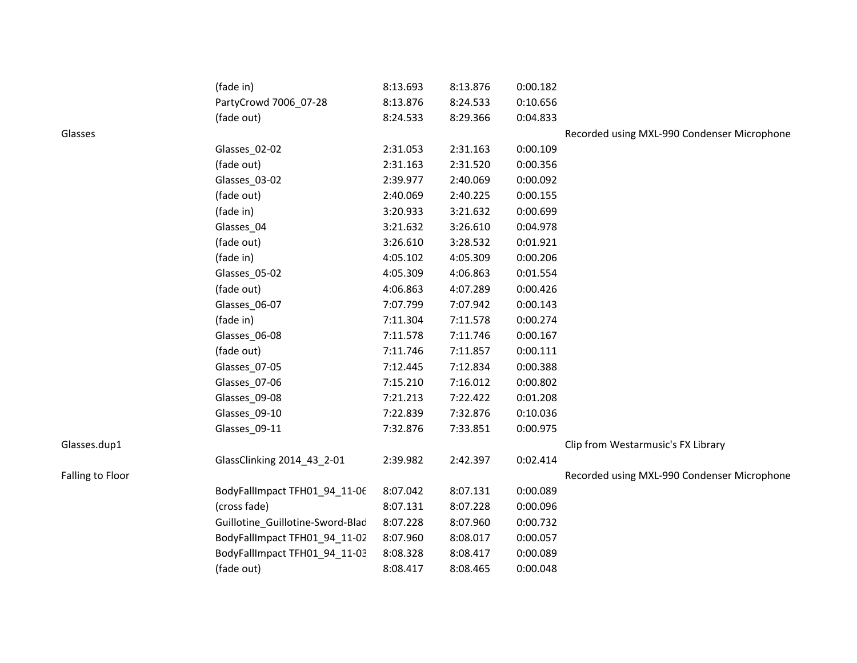|                  | (fade in)                        | 8:13.693 | 8:13.876 | 0:00.182 |                                             |
|------------------|----------------------------------|----------|----------|----------|---------------------------------------------|
|                  | PartyCrowd 7006_07-28            | 8:13.876 | 8:24.533 | 0:10.656 |                                             |
|                  | (fade out)                       | 8:24.533 | 8:29.366 | 0:04.833 |                                             |
| Glasses          |                                  |          |          |          | Recorded using MXL-990 Condenser Microphone |
|                  | Glasses_02-02                    | 2:31.053 | 2:31.163 | 0:00.109 |                                             |
|                  | (fade out)                       | 2:31.163 | 2:31.520 | 0:00.356 |                                             |
|                  | Glasses_03-02                    | 2:39.977 | 2:40.069 | 0:00.092 |                                             |
|                  | (fade out)                       | 2:40.069 | 2:40.225 | 0:00.155 |                                             |
|                  | (fade in)                        | 3:20.933 | 3:21.632 | 0:00.699 |                                             |
|                  | Glasses_04                       | 3:21.632 | 3:26.610 | 0:04.978 |                                             |
|                  | (fade out)                       | 3:26.610 | 3:28.532 | 0:01.921 |                                             |
|                  | (fade in)                        | 4:05.102 | 4:05.309 | 0:00.206 |                                             |
|                  | Glasses_05-02                    | 4:05.309 | 4:06.863 | 0:01.554 |                                             |
|                  | (fade out)                       | 4:06.863 | 4:07.289 | 0:00.426 |                                             |
|                  | Glasses_06-07                    | 7:07.799 | 7:07.942 | 0:00.143 |                                             |
|                  | (fade in)                        | 7:11.304 | 7:11.578 | 0:00.274 |                                             |
|                  | Glasses_06-08                    | 7:11.578 | 7:11.746 | 0:00.167 |                                             |
|                  | (fade out)                       | 7:11.746 | 7:11.857 | 0:00.111 |                                             |
|                  | Glasses_07-05                    | 7:12.445 | 7:12.834 | 0:00.388 |                                             |
|                  | Glasses_07-06                    | 7:15.210 | 7:16.012 | 0:00.802 |                                             |
|                  | Glasses_09-08                    | 7:21.213 | 7:22.422 | 0:01.208 |                                             |
|                  | Glasses_09-10                    | 7:22.839 | 7:32.876 | 0:10.036 |                                             |
|                  | Glasses_09-11                    | 7:32.876 | 7:33.851 | 0:00.975 |                                             |
| Glasses.dup1     |                                  |          |          |          | Clip from Westarmusic's FX Library          |
|                  | GlassClinking 2014 43 2-01       | 2:39.982 | 2:42.397 | 0:02.414 |                                             |
| Falling to Floor |                                  |          |          |          | Recorded using MXL-990 Condenser Microphone |
|                  | BodyFallImpact TFH01_94_11-06    | 8:07.042 | 8:07.131 | 0:00.089 |                                             |
|                  | (cross fade)                     | 8:07.131 | 8:07.228 | 0:00.096 |                                             |
|                  | Guillotine_Guillotine-Sword-Blac | 8:07.228 | 8:07.960 | 0:00.732 |                                             |
|                  | BodyFallImpact TFH01_94_11-02    | 8:07.960 | 8:08.017 | 0:00.057 |                                             |
|                  | BodyFallImpact TFH01_94_11-03    | 8:08.328 | 8:08.417 | 0:00.089 |                                             |
|                  | (fade out)                       | 8:08.417 | 8:08.465 | 0:00.048 |                                             |
|                  |                                  |          |          |          |                                             |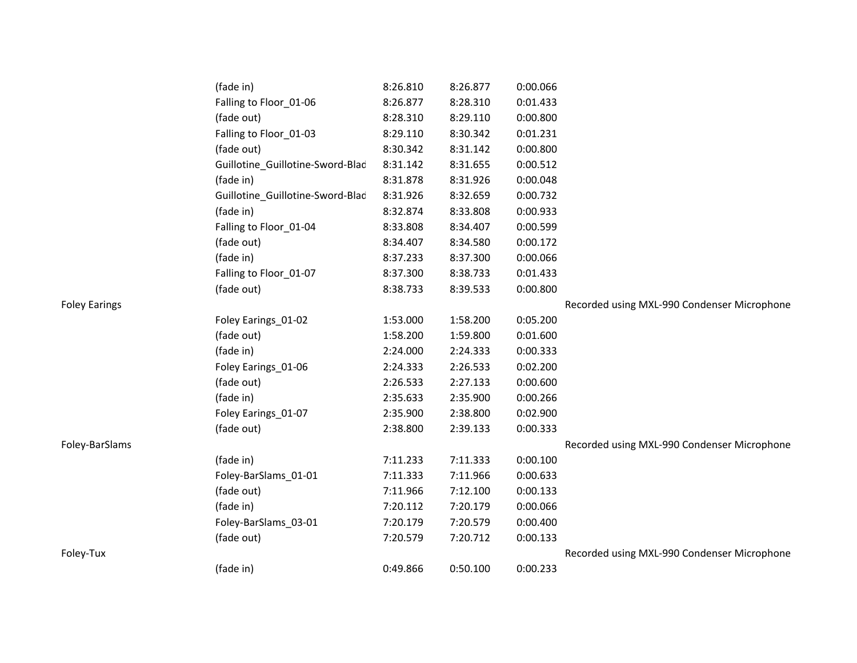|                      | (fade in)                        | 8:26.810 | 8:26.877 | 0:00.066 |                                             |
|----------------------|----------------------------------|----------|----------|----------|---------------------------------------------|
|                      | Falling to Floor_01-06           | 8:26.877 | 8:28.310 | 0:01.433 |                                             |
|                      | (fade out)                       | 8:28.310 | 8:29.110 | 0:00.800 |                                             |
|                      | Falling to Floor_01-03           | 8:29.110 | 8:30.342 | 0:01.231 |                                             |
|                      | (fade out)                       | 8:30.342 | 8:31.142 | 0:00.800 |                                             |
|                      | Guillotine_Guillotine-Sword-Blac | 8:31.142 | 8:31.655 | 0:00.512 |                                             |
|                      | (fade in)                        | 8:31.878 | 8:31.926 | 0:00.048 |                                             |
|                      | Guillotine_Guillotine-Sword-Blac | 8:31.926 | 8:32.659 | 0:00.732 |                                             |
|                      | (fade in)                        | 8:32.874 | 8:33.808 | 0:00.933 |                                             |
|                      | Falling to Floor_01-04           | 8:33.808 | 8:34.407 | 0:00.599 |                                             |
|                      | (fade out)                       | 8:34.407 | 8:34.580 | 0:00.172 |                                             |
|                      | (fade in)                        | 8:37.233 | 8:37.300 | 0:00.066 |                                             |
|                      | Falling to Floor_01-07           | 8:37.300 | 8:38.733 | 0:01.433 |                                             |
|                      | (fade out)                       | 8:38.733 | 8:39.533 | 0:00.800 |                                             |
| <b>Foley Earings</b> |                                  |          |          |          | Recorded using MXL-990 Condenser Microphone |
|                      | Foley Earings_01-02              | 1:53.000 | 1:58.200 | 0:05.200 |                                             |
|                      | (fade out)                       | 1:58.200 | 1:59.800 | 0:01.600 |                                             |
|                      | (fade in)                        | 2:24.000 | 2:24.333 | 0:00.333 |                                             |
|                      | Foley Earings_01-06              | 2:24.333 | 2:26.533 | 0:02.200 |                                             |
|                      | (fade out)                       | 2:26.533 | 2:27.133 | 0:00.600 |                                             |
|                      | (fade in)                        | 2:35.633 | 2:35.900 | 0:00.266 |                                             |
|                      | Foley Earings_01-07              | 2:35.900 | 2:38.800 | 0:02.900 |                                             |
|                      | (fade out)                       | 2:38.800 | 2:39.133 | 0:00.333 |                                             |
| Foley-BarSlams       |                                  |          |          |          | Recorded using MXL-990 Condenser Microphone |
|                      | (fade in)                        | 7:11.233 | 7:11.333 | 0:00.100 |                                             |
|                      | Foley-BarSlams 01-01             | 7:11.333 | 7:11.966 | 0:00.633 |                                             |
|                      | (fade out)                       | 7:11.966 | 7:12.100 | 0:00.133 |                                             |
|                      | (fade in)                        | 7:20.112 | 7:20.179 | 0:00.066 |                                             |
|                      | Foley-BarSlams_03-01             | 7:20.179 | 7:20.579 | 0:00.400 |                                             |
|                      | (fade out)                       | 7:20.579 | 7:20.712 | 0:00.133 |                                             |
| Foley-Tux            |                                  |          |          |          | Recorded using MXL-990 Condenser Microphone |
|                      | (fade in)                        | 0:49.866 | 0:50.100 | 0:00.233 |                                             |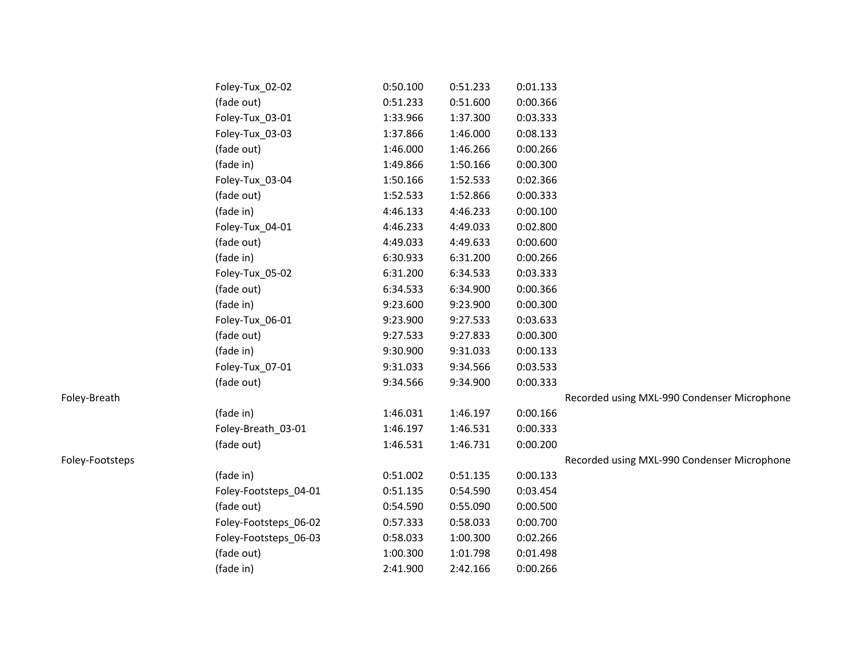|                 | Foley-Tux_02-02       | 0:50.100 | 0:51.233 | 0:01.133 |                                             |
|-----------------|-----------------------|----------|----------|----------|---------------------------------------------|
|                 | (fade out)            | 0:51.233 | 0:51.600 | 0:00.366 |                                             |
|                 | Foley-Tux_03-01       | 1:33.966 | 1:37.300 | 0:03.333 |                                             |
|                 | Foley-Tux_03-03       | 1:37.866 | 1:46.000 | 0:08.133 |                                             |
|                 | (fade out)            | 1:46.000 | 1:46.266 | 0:00.266 |                                             |
|                 | (fade in)             | 1:49.866 | 1:50.166 | 0:00.300 |                                             |
|                 | Foley-Tux_03-04       | 1:50.166 | 1:52.533 | 0:02.366 |                                             |
|                 | (fade out)            | 1:52.533 | 1:52.866 | 0:00.333 |                                             |
|                 | (fade in)             | 4:46.133 | 4:46.233 | 0:00.100 |                                             |
|                 | Foley-Tux_04-01       | 4:46.233 | 4:49.033 | 0:02.800 |                                             |
|                 | (fade out)            | 4:49.033 | 4:49.633 | 0:00.600 |                                             |
|                 | (fade in)             | 6:30.933 | 6:31.200 | 0:00.266 |                                             |
|                 | Foley-Tux_05-02       | 6:31.200 | 6:34.533 | 0:03.333 |                                             |
|                 | (fade out)            | 6:34.533 | 6:34.900 | 0:00.366 |                                             |
|                 | (fade in)             | 9:23.600 | 9:23.900 | 0:00.300 |                                             |
|                 | Foley-Tux 06-01       | 9:23.900 | 9:27.533 | 0:03.633 |                                             |
|                 | (fade out)            | 9:27.533 | 9:27.833 | 0:00.300 |                                             |
|                 | (fade in)             | 9:30.900 | 9:31.033 | 0:00.133 |                                             |
|                 | Foley-Tux_07-01       | 9:31.033 | 9:34.566 | 0:03.533 |                                             |
|                 | (fade out)            | 9:34.566 | 9:34.900 | 0:00.333 |                                             |
| Foley-Breath    |                       |          |          |          | Recorded using MXL-990 Condenser Microphone |
|                 | (fade in)             | 1:46.031 | 1:46.197 | 0:00.166 |                                             |
|                 | Foley-Breath_03-01    | 1:46.197 | 1:46.531 | 0:00.333 |                                             |
|                 | (fade out)            | 1:46.531 | 1:46.731 | 0:00.200 |                                             |
| Foley-Footsteps |                       |          |          |          | Recorded using MXL-990 Condenser Microphone |
|                 | (fade in)             | 0:51.002 | 0:51.135 | 0:00.133 |                                             |
|                 | Foley-Footsteps_04-01 | 0:51.135 | 0:54.590 | 0:03.454 |                                             |
|                 | (fade out)            | 0:54.590 | 0:55.090 | 0:00.500 |                                             |
|                 | Foley-Footsteps_06-02 | 0:57.333 | 0:58.033 | 0:00.700 |                                             |
|                 | Foley-Footsteps_06-03 | 0:58.033 | 1:00.300 | 0:02.266 |                                             |
|                 | (fade out)            | 1:00.300 | 1:01.798 | 0:01.498 |                                             |
|                 | (fade in)             | 2:41.900 | 2:42.166 | 0:00.266 |                                             |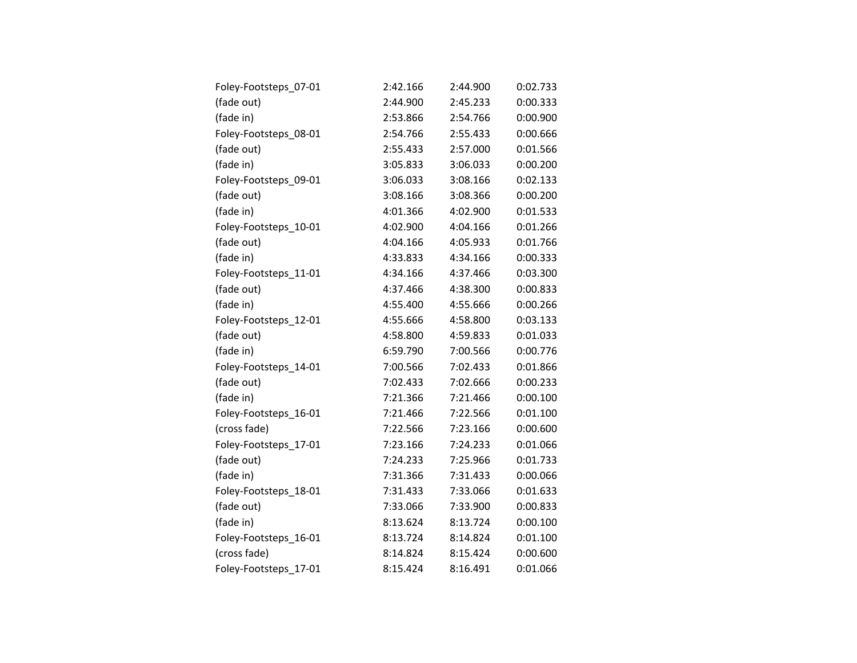| Foley-Footsteps_07-01 | 2:42.166 | 2:44.900 | 0:02.733 |
|-----------------------|----------|----------|----------|
| (fade out)            | 2:44.900 | 2:45.233 | 0:00.333 |
| (fade in)             | 2:53.866 | 2:54.766 | 0:00.900 |
| Foley-Footsteps_08-01 | 2:54.766 | 2:55.433 | 0:00.666 |
| (fade out)            | 2:55.433 | 2:57.000 | 0:01.566 |
| (fade in)             | 3:05.833 | 3:06.033 | 0:00.200 |
| Foley-Footsteps_09-01 | 3:06.033 | 3:08.166 | 0:02.133 |
| (fade out)            | 3:08.166 | 3:08.366 | 0:00.200 |
| (fade in)             | 4:01.366 | 4:02.900 | 0:01.533 |
| Foley-Footsteps_10-01 | 4:02.900 | 4:04.166 | 0:01.266 |
| (fade out)            | 4:04.166 | 4:05.933 | 0:01.766 |
| (fade in)             | 4:33.833 | 4:34.166 | 0:00.333 |
| Foley-Footsteps_11-01 | 4:34.166 | 4:37.466 | 0:03.300 |
| (fade out)            | 4:37.466 | 4:38.300 | 0:00.833 |
| (fade in)             | 4:55.400 | 4:55.666 | 0:00.266 |
| Foley-Footsteps_12-01 | 4:55.666 | 4:58.800 | 0:03.133 |
| (fade out)            | 4:58.800 | 4:59.833 | 0:01.033 |
| (fade in)             | 6:59.790 | 7:00.566 | 0:00.776 |
| Foley-Footsteps_14-01 | 7:00.566 | 7:02.433 | 0:01.866 |
| (fade out)            | 7:02.433 | 7:02.666 | 0:00.233 |
| (fade in)             | 7:21.366 | 7:21.466 | 0:00.100 |
| Foley-Footsteps_16-01 | 7:21.466 | 7:22.566 | 0:01.100 |
| (cross fade)          | 7:22.566 | 7:23.166 | 0:00.600 |
| Foley-Footsteps_17-01 | 7:23.166 | 7:24.233 | 0:01.066 |
| (fade out)            | 7:24.233 | 7:25.966 | 0:01.733 |
| (fade in)             | 7:31.366 | 7:31.433 | 0:00.066 |
| Foley-Footsteps_18-01 | 7:31.433 | 7:33.066 | 0:01.633 |
| (fade out)            | 7:33.066 | 7:33.900 | 0:00.833 |
| (fade in)             | 8:13.624 | 8:13.724 | 0:00.100 |
| Foley-Footsteps_16-01 | 8:13.724 | 8:14.824 | 0:01.100 |
| (cross fade)          | 8:14.824 | 8:15.424 | 0:00.600 |
| Foley-Footsteps_17-01 | 8:15.424 | 8:16.491 | 0:01.066 |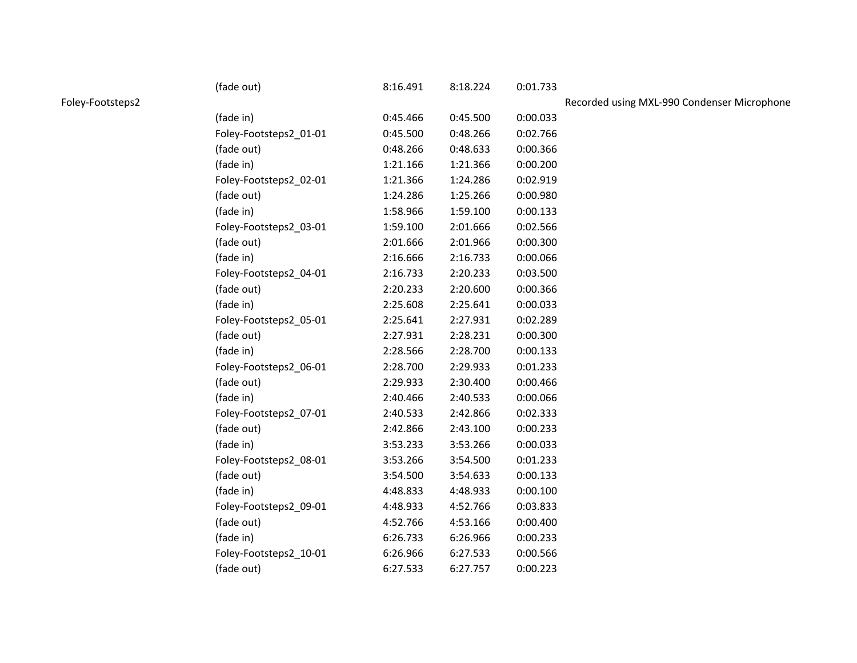|                  | (fade out)             | 8:16.491 | 8:18.224 | 0:01.733 |                                             |
|------------------|------------------------|----------|----------|----------|---------------------------------------------|
| Foley-Footsteps2 |                        |          |          |          | Recorded using MXL-990 Condenser Microphone |
|                  | (fade in)              | 0:45.466 | 0:45.500 | 0:00.033 |                                             |
|                  | Foley-Footsteps2_01-01 | 0:45.500 | 0:48.266 | 0:02.766 |                                             |
|                  | (fade out)             | 0:48.266 | 0:48.633 | 0:00.366 |                                             |
|                  | (fade in)              | 1:21.166 | 1:21.366 | 0:00.200 |                                             |
|                  | Foley-Footsteps2_02-01 | 1:21.366 | 1:24.286 | 0:02.919 |                                             |
|                  | (fade out)             | 1:24.286 | 1:25.266 | 0:00.980 |                                             |
|                  | (fade in)              | 1:58.966 | 1:59.100 | 0:00.133 |                                             |
|                  | Foley-Footsteps2_03-01 | 1:59.100 | 2:01.666 | 0:02.566 |                                             |
|                  | (fade out)             | 2:01.666 | 2:01.966 | 0:00.300 |                                             |
|                  | (fade in)              | 2:16.666 | 2:16.733 | 0:00.066 |                                             |
|                  | Foley-Footsteps2_04-01 | 2:16.733 | 2:20.233 | 0:03.500 |                                             |
|                  | (fade out)             | 2:20.233 | 2:20.600 | 0:00.366 |                                             |
|                  | (fade in)              | 2:25.608 | 2:25.641 | 0:00.033 |                                             |
|                  | Foley-Footsteps2 05-01 | 2:25.641 | 2:27.931 | 0:02.289 |                                             |
|                  | (fade out)             | 2:27.931 | 2:28.231 | 0:00.300 |                                             |
|                  | (fade in)              | 2:28.566 | 2:28.700 | 0:00.133 |                                             |
|                  | Foley-Footsteps2_06-01 | 2:28.700 | 2:29.933 | 0:01.233 |                                             |
|                  | (fade out)             | 2:29.933 | 2:30.400 | 0:00.466 |                                             |
|                  | (fade in)              | 2:40.466 | 2:40.533 | 0:00.066 |                                             |
|                  | Foley-Footsteps2_07-01 | 2:40.533 | 2:42.866 | 0:02.333 |                                             |
|                  | (fade out)             | 2:42.866 | 2:43.100 | 0:00.233 |                                             |
|                  | (fade in)              | 3:53.233 | 3:53.266 | 0:00.033 |                                             |
|                  | Foley-Footsteps2_08-01 | 3:53.266 | 3:54.500 | 0:01.233 |                                             |
|                  | (fade out)             | 3:54.500 | 3:54.633 | 0:00.133 |                                             |
|                  | (fade in)              | 4:48.833 | 4:48.933 | 0:00.100 |                                             |
|                  | Foley-Footsteps2 09-01 | 4:48.933 | 4:52.766 | 0:03.833 |                                             |
|                  | (fade out)             | 4:52.766 | 4:53.166 | 0:00.400 |                                             |
|                  | (fade in)              | 6:26.733 | 6:26.966 | 0:00.233 |                                             |
|                  | Foley-Footsteps2_10-01 | 6:26.966 | 6:27.533 | 0:00.566 |                                             |
|                  | (fade out)             | 6:27.533 | 6:27.757 | 0:00.223 |                                             |
|                  |                        |          |          |          |                                             |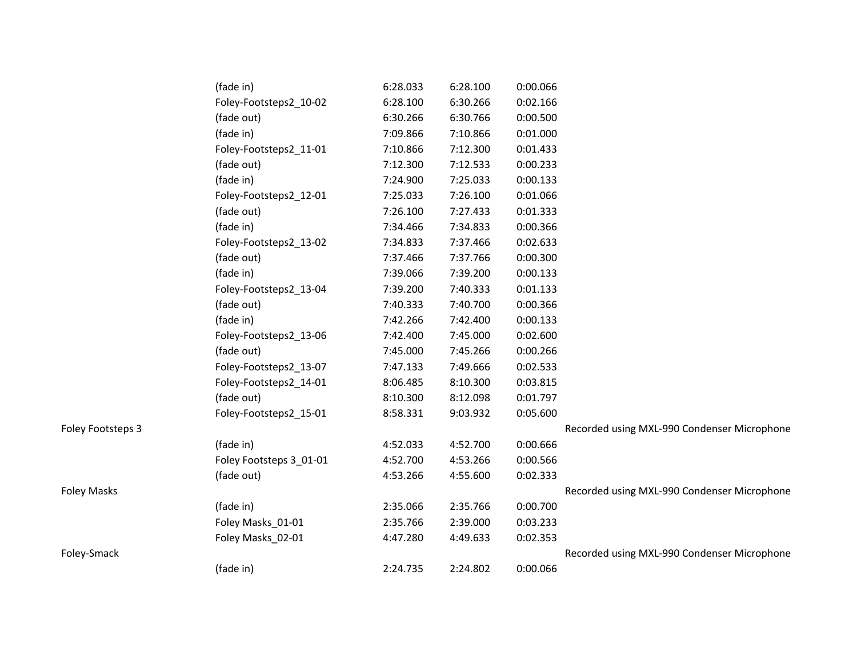|                    | (fade in)               | 6:28.033 | 6:28.100 | 0:00.066 |                                             |
|--------------------|-------------------------|----------|----------|----------|---------------------------------------------|
|                    | Foley-Footsteps2 10-02  | 6:28.100 | 6:30.266 | 0:02.166 |                                             |
|                    | (fade out)              | 6:30.266 | 6:30.766 | 0:00.500 |                                             |
|                    | (fade in)               | 7:09.866 | 7:10.866 | 0:01.000 |                                             |
|                    | Foley-Footsteps2_11-01  | 7:10.866 | 7:12.300 | 0:01.433 |                                             |
|                    | (fade out)              | 7:12.300 | 7:12.533 | 0:00.233 |                                             |
|                    | (fade in)               | 7:24.900 | 7:25.033 | 0:00.133 |                                             |
|                    | Foley-Footsteps2_12-01  | 7:25.033 | 7:26.100 | 0:01.066 |                                             |
|                    | (fade out)              | 7:26.100 | 7:27.433 | 0:01.333 |                                             |
|                    | (fade in)               | 7:34.466 | 7:34.833 | 0:00.366 |                                             |
|                    | Foley-Footsteps2_13-02  | 7:34.833 | 7:37.466 | 0:02.633 |                                             |
|                    | (fade out)              | 7:37.466 | 7:37.766 | 0:00.300 |                                             |
|                    | (fade in)               | 7:39.066 | 7:39.200 | 0:00.133 |                                             |
|                    | Foley-Footsteps2_13-04  | 7:39.200 | 7:40.333 | 0:01.133 |                                             |
|                    | (fade out)              | 7:40.333 | 7:40.700 | 0:00.366 |                                             |
|                    | (fade in)               | 7:42.266 | 7:42.400 | 0:00.133 |                                             |
|                    | Foley-Footsteps2_13-06  | 7:42.400 | 7:45.000 | 0:02.600 |                                             |
|                    | (fade out)              | 7:45.000 | 7:45.266 | 0:00.266 |                                             |
|                    | Foley-Footsteps2_13-07  | 7:47.133 | 7:49.666 | 0:02.533 |                                             |
|                    | Foley-Footsteps2 14-01  | 8:06.485 | 8:10.300 | 0:03.815 |                                             |
|                    | (fade out)              | 8:10.300 | 8:12.098 | 0:01.797 |                                             |
|                    | Foley-Footsteps2_15-01  | 8:58.331 | 9:03.932 | 0:05.600 |                                             |
| Foley Footsteps 3  |                         |          |          |          | Recorded using MXL-990 Condenser Microphone |
|                    | (fade in)               | 4:52.033 | 4:52.700 | 0:00.666 |                                             |
|                    | Foley Footsteps 3_01-01 | 4:52.700 | 4:53.266 | 0:00.566 |                                             |
|                    | (fade out)              | 4:53.266 | 4:55.600 | 0:02.333 |                                             |
| <b>Foley Masks</b> |                         |          |          |          | Recorded using MXL-990 Condenser Microphone |
|                    | (fade in)               | 2:35.066 | 2:35.766 | 0:00.700 |                                             |
|                    | Foley Masks_01-01       | 2:35.766 | 2:39.000 | 0:03.233 |                                             |
|                    | Foley Masks_02-01       | 4:47.280 | 4:49.633 | 0:02.353 |                                             |
| Foley-Smack        |                         |          |          |          | Recorded using MXL-990 Condenser Microphone |
|                    | (fade in)               | 2:24.735 | 2:24.802 | 0:00.066 |                                             |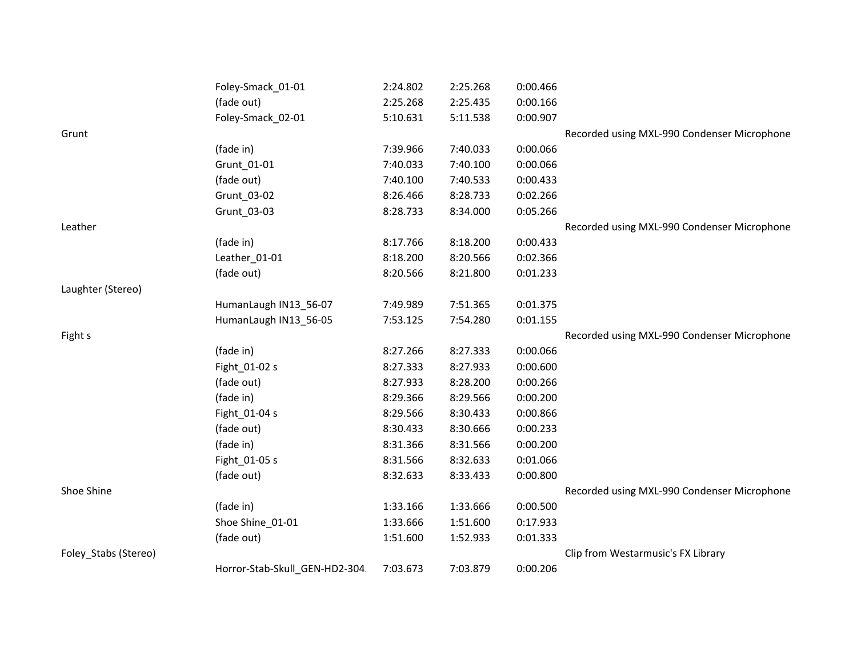|                      | Foley-Smack_01-01             | 2:24.802 | 2:25.268 | 0:00.466 |                                             |
|----------------------|-------------------------------|----------|----------|----------|---------------------------------------------|
|                      | (fade out)                    | 2:25.268 | 2:25.435 | 0:00.166 |                                             |
|                      | Foley-Smack_02-01             | 5:10.631 | 5:11.538 | 0:00.907 |                                             |
| Grunt                |                               |          |          |          | Recorded using MXL-990 Condenser Microphone |
|                      | (fade in)                     | 7:39.966 | 7:40.033 | 0:00.066 |                                             |
|                      | Grunt_01-01                   | 7:40.033 | 7:40.100 | 0:00.066 |                                             |
|                      | (fade out)                    | 7:40.100 | 7:40.533 | 0:00.433 |                                             |
|                      | Grunt_03-02                   | 8:26.466 | 8:28.733 | 0:02.266 |                                             |
|                      | Grunt 03-03                   | 8:28.733 | 8:34.000 | 0:05.266 |                                             |
| Leather              |                               |          |          |          | Recorded using MXL-990 Condenser Microphone |
|                      | (fade in)                     | 8:17.766 | 8:18.200 | 0:00.433 |                                             |
|                      | Leather_01-01                 | 8:18.200 | 8:20.566 | 0:02.366 |                                             |
|                      | (fade out)                    | 8:20.566 | 8:21.800 | 0:01.233 |                                             |
| Laughter (Stereo)    |                               |          |          |          |                                             |
|                      | HumanLaugh IN13_56-07         | 7:49.989 | 7:51.365 | 0:01.375 |                                             |
|                      | HumanLaugh IN13_56-05         | 7:53.125 | 7:54.280 | 0:01.155 |                                             |
| Fight s              |                               |          |          |          | Recorded using MXL-990 Condenser Microphone |
|                      | (fade in)                     | 8:27.266 | 8:27.333 | 0:00.066 |                                             |
|                      | Fight_01-02 s                 | 8:27.333 | 8:27.933 | 0:00.600 |                                             |
|                      | (fade out)                    | 8:27.933 | 8:28.200 | 0:00.266 |                                             |
|                      | (fade in)                     | 8:29.366 | 8:29.566 | 0:00.200 |                                             |
|                      | Fight_01-04 s                 | 8:29.566 | 8:30.433 | 0:00.866 |                                             |
|                      | (fade out)                    | 8:30.433 | 8:30.666 | 0:00.233 |                                             |
|                      | (fade in)                     | 8:31.366 | 8:31.566 | 0:00.200 |                                             |
|                      | Fight_01-05 s                 | 8:31.566 | 8:32.633 | 0:01.066 |                                             |
|                      | (fade out)                    | 8:32.633 | 8:33.433 | 0:00.800 |                                             |
| Shoe Shine           |                               |          |          |          | Recorded using MXL-990 Condenser Microphone |
|                      | (fade in)                     | 1:33.166 | 1:33.666 | 0:00.500 |                                             |
|                      | Shoe Shine_01-01              | 1:33.666 | 1:51.600 | 0:17.933 |                                             |
|                      | (fade out)                    | 1:51.600 | 1:52.933 | 0:01.333 |                                             |
| Foley_Stabs (Stereo) |                               |          |          |          | Clip from Westarmusic's FX Library          |
|                      | Horror-Stab-Skull GEN-HD2-304 | 7:03.673 | 7:03.879 | 0:00.206 |                                             |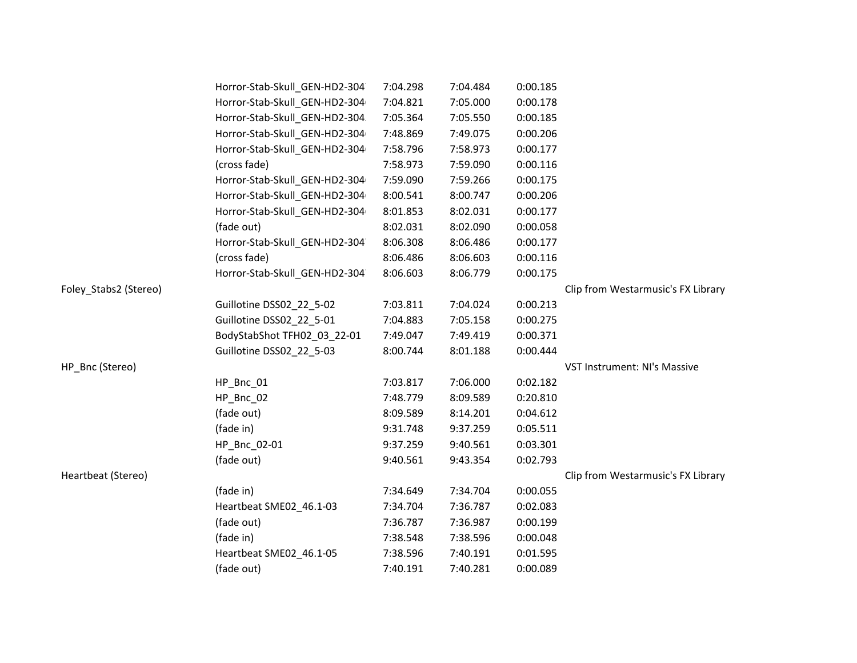|                       | Horror-Stab-Skull_GEN-HD2-304 | 7:04.298 | 7:04.484 | 0:00.185 |                                    |
|-----------------------|-------------------------------|----------|----------|----------|------------------------------------|
|                       | Horror-Stab-Skull_GEN-HD2-304 | 7:04.821 | 7:05.000 | 0:00.178 |                                    |
|                       | Horror-Stab-Skull_GEN-HD2-304 | 7:05.364 | 7:05.550 | 0:00.185 |                                    |
|                       | Horror-Stab-Skull_GEN-HD2-304 | 7:48.869 | 7:49.075 | 0:00.206 |                                    |
|                       | Horror-Stab-Skull_GEN-HD2-304 | 7:58.796 | 7:58.973 | 0:00.177 |                                    |
|                       | (cross fade)                  | 7:58.973 | 7:59.090 | 0:00.116 |                                    |
|                       | Horror-Stab-Skull_GEN-HD2-304 | 7:59.090 | 7:59.266 | 0:00.175 |                                    |
|                       | Horror-Stab-Skull_GEN-HD2-304 | 8:00.541 | 8:00.747 | 0:00.206 |                                    |
|                       | Horror-Stab-Skull_GEN-HD2-304 | 8:01.853 | 8:02.031 | 0:00.177 |                                    |
|                       | (fade out)                    | 8:02.031 | 8:02.090 | 0:00.058 |                                    |
|                       | Horror-Stab-Skull_GEN-HD2-304 | 8:06.308 | 8:06.486 | 0:00.177 |                                    |
|                       | (cross fade)                  | 8:06.486 | 8:06.603 | 0:00.116 |                                    |
|                       | Horror-Stab-Skull_GEN-HD2-304 | 8:06.603 | 8:06.779 | 0:00.175 |                                    |
| Foley_Stabs2 (Stereo) |                               |          |          |          | Clip from Westarmusic's FX Library |
|                       | Guillotine DSS02_22_5-02      | 7:03.811 | 7:04.024 | 0:00.213 |                                    |
|                       | Guillotine DSS02_22_5-01      | 7:04.883 | 7:05.158 | 0:00.275 |                                    |
|                       | BodyStabShot TFH02_03_22-01   | 7:49.047 | 7:49.419 | 0:00.371 |                                    |
|                       | Guillotine DSS02_22_5-03      | 8:00.744 | 8:01.188 | 0:00.444 |                                    |
| HP_Bnc (Stereo)       |                               |          |          |          | VST Instrument: NI's Massive       |
|                       | HP_Bnc_01                     | 7:03.817 | 7:06.000 | 0:02.182 |                                    |
|                       | HP_Bnc_02                     | 7:48.779 | 8:09.589 | 0:20.810 |                                    |
|                       | (fade out)                    | 8:09.589 | 8:14.201 | 0:04.612 |                                    |
|                       | (fade in)                     | 9:31.748 | 9:37.259 | 0:05.511 |                                    |
|                       | HP_Bnc_02-01                  | 9:37.259 | 9:40.561 | 0:03.301 |                                    |
|                       | (fade out)                    | 9:40.561 | 9:43.354 | 0:02.793 |                                    |
| Heartbeat (Stereo)    |                               |          |          |          | Clip from Westarmusic's FX Library |
|                       | (fade in)                     | 7:34.649 | 7:34.704 | 0:00.055 |                                    |
|                       | Heartbeat SME02_46.1-03       | 7:34.704 | 7:36.787 | 0:02.083 |                                    |
|                       | (fade out)                    | 7:36.787 | 7:36.987 | 0:00.199 |                                    |
|                       | (fade in)                     | 7:38.548 | 7:38.596 | 0:00.048 |                                    |
|                       | Heartbeat SME02_46.1-05       | 7:38.596 | 7:40.191 | 0:01.595 |                                    |
|                       | (fade out)                    | 7:40.191 | 7:40.281 | 0:00.089 |                                    |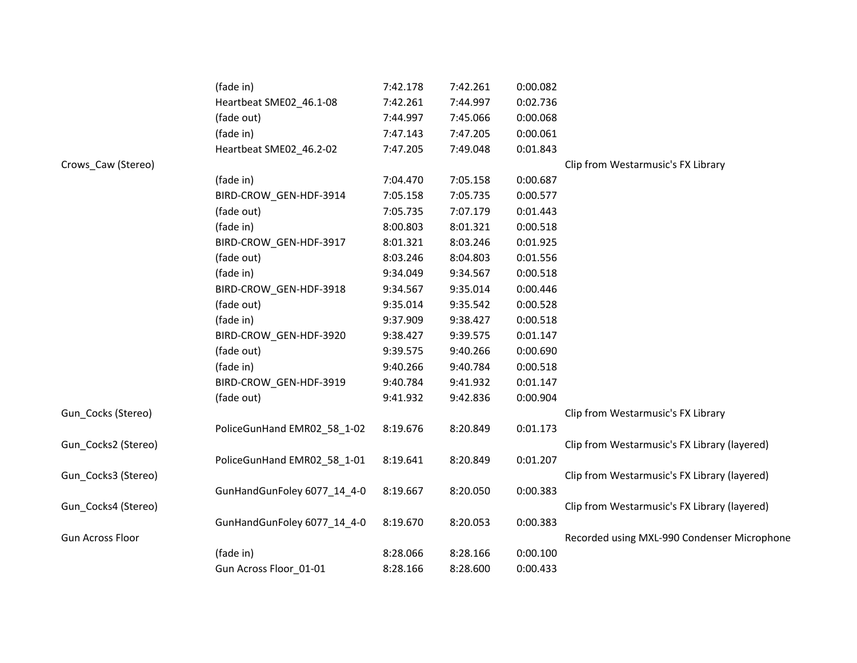|                         | (fade in)                   | 7:42.178 | 7:42.261 | 0:00.082 |                                              |
|-------------------------|-----------------------------|----------|----------|----------|----------------------------------------------|
|                         | Heartbeat SME02_46.1-08     | 7:42.261 | 7:44.997 | 0:02.736 |                                              |
|                         | (fade out)                  | 7:44.997 | 7:45.066 | 0:00.068 |                                              |
|                         | (fade in)                   | 7:47.143 | 7:47.205 | 0:00.061 |                                              |
|                         | Heartbeat SME02_46.2-02     | 7:47.205 | 7:49.048 | 0:01.843 |                                              |
| Crows_Caw (Stereo)      |                             |          |          |          | Clip from Westarmusic's FX Library           |
|                         | (fade in)                   | 7:04.470 | 7:05.158 | 0:00.687 |                                              |
|                         | BIRD-CROW_GEN-HDF-3914      | 7:05.158 | 7:05.735 | 0:00.577 |                                              |
|                         | (fade out)                  | 7:05.735 | 7:07.179 | 0:01.443 |                                              |
|                         | (fade in)                   | 8:00.803 | 8:01.321 | 0:00.518 |                                              |
|                         | BIRD-CROW_GEN-HDF-3917      | 8:01.321 | 8:03.246 | 0:01.925 |                                              |
|                         | (fade out)                  | 8:03.246 | 8:04.803 | 0:01.556 |                                              |
|                         | (fade in)                   | 9:34.049 | 9:34.567 | 0:00.518 |                                              |
|                         | BIRD-CROW_GEN-HDF-3918      | 9:34.567 | 9:35.014 | 0:00.446 |                                              |
|                         | (fade out)                  | 9:35.014 | 9:35.542 | 0:00.528 |                                              |
|                         | (fade in)                   | 9:37.909 | 9:38.427 | 0:00.518 |                                              |
|                         | BIRD-CROW_GEN-HDF-3920      | 9:38.427 | 9:39.575 | 0:01.147 |                                              |
|                         | (fade out)                  | 9:39.575 | 9:40.266 | 0:00.690 |                                              |
|                         | (fade in)                   | 9:40.266 | 9:40.784 | 0:00.518 |                                              |
|                         | BIRD-CROW_GEN-HDF-3919      | 9:40.784 | 9:41.932 | 0:01.147 |                                              |
|                         | (fade out)                  | 9:41.932 | 9:42.836 | 0:00.904 |                                              |
| Gun_Cocks (Stereo)      |                             |          |          |          | Clip from Westarmusic's FX Library           |
|                         | PoliceGunHand EMR02 58 1-02 | 8:19.676 | 8:20.849 | 0:01.173 |                                              |
| Gun_Cocks2 (Stereo)     |                             |          |          |          | Clip from Westarmusic's FX Library (layered) |
|                         | PoliceGunHand EMR02_58_1-01 | 8:19.641 | 8:20.849 | 0:01.207 |                                              |
| Gun_Cocks3 (Stereo)     |                             |          |          |          | Clip from Westarmusic's FX Library (layered) |
|                         | GunHandGunFoley 6077_14_4-0 | 8:19.667 | 8:20.050 | 0:00.383 |                                              |
| Gun_Cocks4 (Stereo)     |                             |          |          |          | Clip from Westarmusic's FX Library (layered) |
|                         | GunHandGunFoley 6077_14_4-0 | 8:19.670 | 8:20.053 | 0:00.383 |                                              |
| <b>Gun Across Floor</b> |                             |          |          |          | Recorded using MXL-990 Condenser Microphone  |
|                         | (fade in)                   | 8:28.066 | 8:28.166 | 0:00.100 |                                              |
|                         | Gun Across Floor 01-01      | 8:28.166 | 8:28.600 | 0:00.433 |                                              |